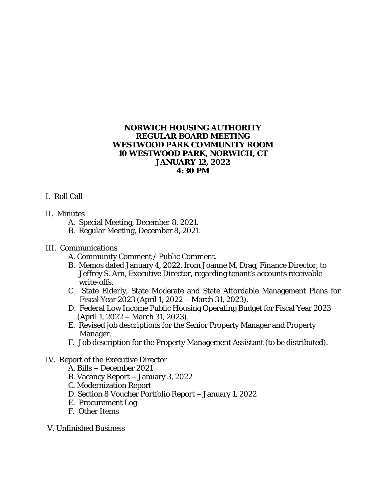#### **NORWICH HOUSING AUTHORITY REGULAR BOARD MEETING WESTWOOD PARK COMMUNITY ROOM 10 WESTWOOD PARK, NORWICH, CT JANUARY 12, 2022 4:30 PM**

## I. Roll Call

## II. Minutes

- A. Special Meeting, December 8, 2021.
- B. Regular Meeting, December 8, 2021.

# III. Communications

- A. Community Comment / Public Comment.
- B. Memos dated January 4, 2022, from Joanne M. Drag, Finance Director, to Jeffrey S. Arn, Executive Director, regarding tenant's accounts receivable write-offs.
- C. State Elderly, State Moderate and State Affordable Management Plans for Fiscal Year 2023 (April 1, 2022 – March 31, 2023).
- D. Federal Low Income Public Housing Operating Budget for Fiscal Year 2023 (April 1, 2022 – March 31, 2023).
- E. Revised job descriptions for the Senior Property Manager and Property Manager.
- F. Job description for the Property Management Assistant (to be distributed).

# IV. Report of the Executive Director

- A. Bills December 2021
- B. Vacancy Report January 3, 2022
- C. Modernization Report
- D. Section 8 Voucher Portfolio Report January 1, 2022
- E. Procurement Log
- F. Other Items
- V. Unfinished Business